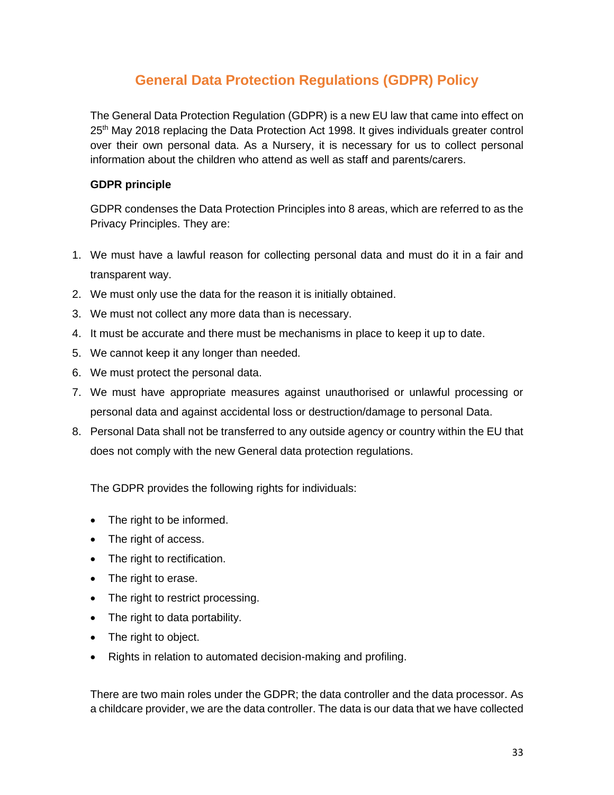# **General Data Protection Regulations (GDPR) Policy**

The General Data Protection Regulation (GDPR) is a new EU law that came into effect on 25<sup>th</sup> May 2018 replacing the Data Protection Act 1998. It gives individuals greater control over their own personal data. As a Nursery, it is necessary for us to collect personal information about the children who attend as well as staff and parents/carers.

# **GDPR principle**

GDPR condenses the Data Protection Principles into 8 areas, which are referred to as the Privacy Principles. They are:

- 1. We must have a lawful reason for collecting personal data and must do it in a fair and transparent way.
- 2. We must only use the data for the reason it is initially obtained.
- 3. We must not collect any more data than is necessary.
- 4. It must be accurate and there must be mechanisms in place to keep it up to date.
- 5. We cannot keep it any longer than needed.
- 6. We must protect the personal data.
- 7. We must have appropriate measures against unauthorised or unlawful processing or personal data and against accidental loss or destruction/damage to personal Data.
- 8. Personal Data shall not be transferred to any outside agency or country within the EU that does not comply with the new General data protection regulations.

The GDPR provides the following rights for individuals:

- The right to be informed.
- The right of access.
- The right to rectification.
- The right to erase.
- The right to restrict processing.
- The right to data portability.
- The right to object.
- Rights in relation to automated decision-making and profiling.

There are two main roles under the GDPR; the data controller and the data processor. As a childcare provider, we are the data controller. The data is our data that we have collected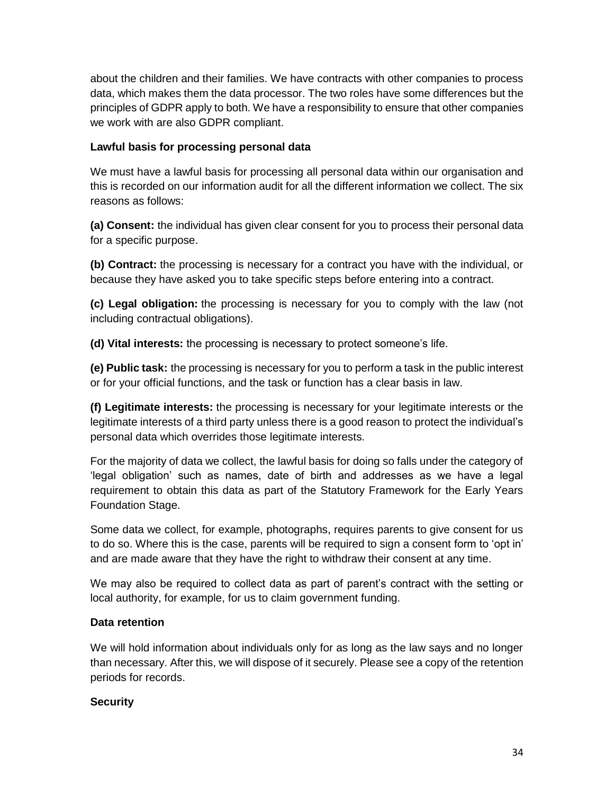about the children and their families. We have contracts with other companies to process data, which makes them the data processor. The two roles have some differences but the principles of GDPR apply to both. We have a responsibility to ensure that other companies we work with are also GDPR compliant.

# **Lawful basis for processing personal data**

We must have a lawful basis for processing all personal data within our organisation and this is recorded on our information audit for all the different information we collect. The six reasons as follows:

**(a) Consent:** the individual has given clear consent for you to process their personal data for a specific purpose.

**(b) Contract:** the processing is necessary for a contract you have with the individual, or because they have asked you to take specific steps before entering into a contract.

**(c) Legal obligation:** the processing is necessary for you to comply with the law (not including contractual obligations).

**(d) Vital interests:** the processing is necessary to protect someone's life.

**(e) Public task:** the processing is necessary for you to perform a task in the public interest or for your official functions, and the task or function has a clear basis in law.

**(f) Legitimate interests:** the processing is necessary for your legitimate interests or the legitimate interests of a third party unless there is a good reason to protect the individual's personal data which overrides those legitimate interests.

For the majority of data we collect, the lawful basis for doing so falls under the category of 'legal obligation' such as names, date of birth and addresses as we have a legal requirement to obtain this data as part of the Statutory Framework for the Early Years Foundation Stage.

Some data we collect, for example, photographs, requires parents to give consent for us to do so. Where this is the case, parents will be required to sign a consent form to 'opt in' and are made aware that they have the right to withdraw their consent at any time.

We may also be required to collect data as part of parent's contract with the setting or local authority, for example, for us to claim government funding.

#### **Data retention**

We will hold information about individuals only for as long as the law says and no longer than necessary. After this, we will dispose of it securely. Please see a copy of the retention periods for records.

#### **Security**